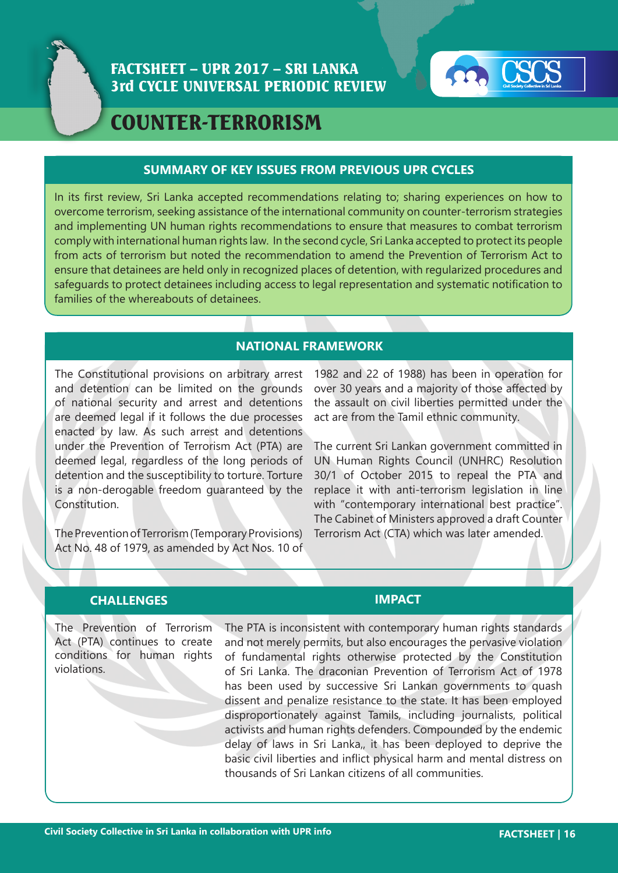



# COUNTER-TERRORISM

### **SUMMARY OF KEY ISSUES FROM PREVIOUS UPR CYCLES**

In its first review, Sri Lanka accepted recommendations relating to; sharing experiences on how to overcome terrorism, seeking assistance of the international community on counter-terrorism strategies and implementing UN human rights recommendations to ensure that measures to combat terrorism comply with international human rights law. In the second cycle, Sri Lanka accepted to protect its people from acts of terrorism but noted the recommendation to amend the Prevention of Terrorism Act to ensure that detainees are held only in recognized places of detention, with regularized procedures and safeguards to protect detainees including access to legal representation and systematic notification to families of the whereabouts of detainees.

## **NATIONAL FRAMEWORK**

The Constitutional provisions on arbitrary arrest and detention can be limited on the grounds of national security and arrest and detentions are deemed legal if it follows the due processes enacted by law. As such arrest and detentions under the Prevention of Terrorism Act (PTA) are deemed legal, regardless of the long periods of detention and the susceptibility to torture. Torture is a non-derogable freedom guaranteed by the Constitution.

The Prevention of Terrorism (Temporary Provisions) Act No. 48 of 1979, as amended by Act Nos. 10 of 1982 and 22 of 1988) has been in operation for over 30 years and a majority of those affected by the assault on civil liberties permitted under the act are from the Tamil ethnic community.

The current Sri Lankan government committed in UN Human Rights Council (UNHRC) Resolution 30/1 of October 2015 to repeal the PTA and replace it with anti-terrorism legislation in line with "contemporary international best practice". The Cabinet of Ministers approved a draft Counter Terrorism Act (CTA) which was later amended.

### **CHALLENGES IMPACT**

The Prevention of Terrorism Act (PTA) continues to create conditions for human rights violations.

The PTA is inconsistent with contemporary human rights standards and not merely permits, but also encourages the pervasive violation of fundamental rights otherwise protected by the Constitution of Sri Lanka. The draconian Prevention of Terrorism Act of 1978 has been used by successive Sri Lankan governments to quash dissent and penalize resistance to the state. It has been employed disproportionately against Tamils, including journalists, political activists and human rights defenders. Compounded by the endemic delay of laws in Sri Lanka,, it has been deployed to deprive the basic civil liberties and inflict physical harm and mental distress on thousands of Sri Lankan citizens of all communities.